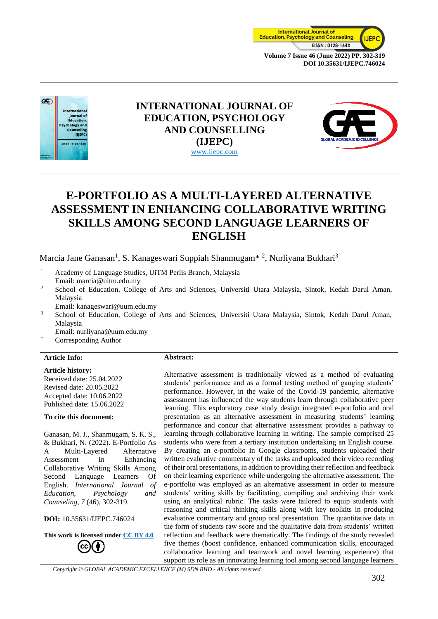



## **INTERNATIONAL JOURNAL OF EDUCATION, PSYCHOLOGY AND COUNSELLING (IJEPC)** www.ijepc.com



# **E-PORTFOLIO AS A MULTI-LAYERED ALTERNATIVE ASSESSMENT IN ENHANCING COLLABORATIVE WRITING SKILLS AMONG SECOND LANGUAGE LEARNERS OF ENGLISH**

Marcia Jane Ganasan<sup>1</sup>, S. Kanageswari Suppiah Shanmugam<sup>\* 2</sup>, Nurliyana Bukhari<sup>3</sup>

- <sup>1</sup> Academy of Language Studies, UiTM Perlis Branch, Malaysia Email: marcia@uitm.edu.my
- <sup>2</sup> School of Education, College of Arts and Sciences, Universiti Utara Malaysia, Sintok, Kedah Darul Aman, Malaysia
	- Email: kanageswari@uum.edu.my
- <sup>3</sup> School of Education, College of Arts and Sciences, Universiti Utara Malaysia, Sintok, Kedah Darul Aman, Malaysia

Email: nurliyana@uum.edu.my

- Corresponding Author
- **Article Info:**

#### **Article history:**

Received date: 25.04.2022 Revised date: 20.05.2022 Accepted date: 10.06.2022 Published date: 15.06.2022

#### **To cite this document:**

Ganasan, M. J., Shanmugam, S. K. S., & Bukhari, N. (2022). E-Portfolio As A Multi-Layered Alternative Assessment In Enhancing Collaborative Writing Skills Among Second Language Learners Of English. *International Journal of Education, Psychology and Counseling, 7* (46), 302-319.

#### **DOI:** 10.35631/IJEPC.746024

**This work is licensed under [CC BY 4.0](https://creativecommons.org/licenses/by/4.0/?ref=chooser-v1) cc** 

#### **Abstract:**

Alternative assessment is traditionally viewed as a method of evaluating students' performance and as a formal testing method of gauging students' performance. However, in the wake of the Covid-19 pandemic, alternative assessment has influenced the way students learn through collaborative peer learning. This exploratory case study design integrated e-portfolio and oral presentation as an alternative assessment in measuring students' learning performance and concur that alternative assessment provides a pathway to learning through collaborative learning in writing. The sample comprised 25 students who were from a tertiary institution undertaking an English course. By creating an e-portfolio in Google classrooms, students uploaded their written evaluative commentary of the tasks and uploaded their video recording of their oral presentations, in addition to providing their reflection and feedback on their learning experience while undergoing the alternative assessment. The e-portfolio was employed as an alternative assessment in order to measure students' writing skills by facilitating, compiling and archiving their work using an analytical rubric. The tasks were tailored to equip students with reasoning and critical thinking skills along with key toolkits in producing evaluative commentary and group oral presentation. The quantitative data in the form of students raw score and the qualitative data from students' written reflection and feedback were thematically. The findings of the study revealed five themes (boost confidence, enhanced communication skills, encouraged collaborative learning and teamwork and novel learning experience) that support its role as an innovating learning tool among second language learners

*Copyright © GLOBAL ACADEMIC EXCELLENCE (M) SDN BHD - All rights reserved*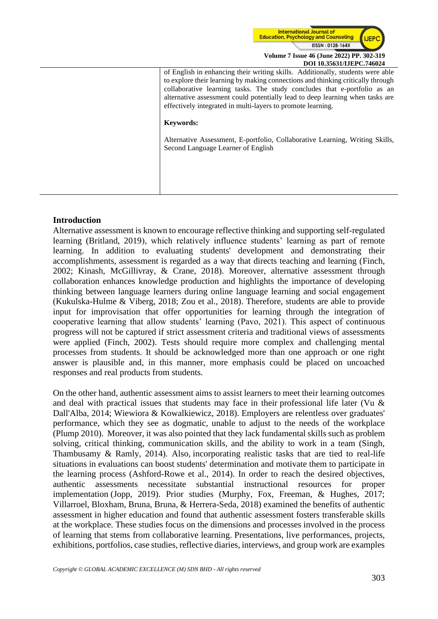

of English in enhancing their writing skills. Additionally, students were able to explore their learning by making connections and thinking critically through collaborative learning tasks. The study concludes that e-portfolio as an alternative assessment could potentially lead to deep learning when tasks are effectively integrated in multi-layers to promote learning.

#### **Keywords:**

Alternative Assessment, E-portfolio, Collaborative Learning, Writing Skills, Second Language Learner of English

### **Introduction**

Alternative assessment is known to encourage reflective thinking and supporting self-regulated learning (Britland, 2019), which relatively influence students' learning as part of remote learning. In addition to evaluating students' development and demonstrating their accomplishments, assessment is regarded as a way that directs teaching and learning (Finch, 2002; Kinash, McGillivray, & Crane, 2018). Moreover, alternative assessment through collaboration enhances knowledge production and highlights the importance of developing thinking between language learners during online language learning and social engagement (Kukulska-Hulme & Viberg, 2018; Zou et al., 2018). Therefore, students are able to provide input for improvisation that offer opportunities for learning through the integration of cooperative learning that allow students' learning (Pavo, 2021). This aspect of continuous progress will not be captured if strict assessment criteria and traditional views of assessments were applied (Finch, 2002). Tests should require more complex and challenging mental processes from students. It should be acknowledged more than one approach or one right answer is plausible and, in this manner, more emphasis could be placed on uncoached responses and real products from students.

On the other hand, authentic assessment aims to assist learners to meet their learning outcomes and deal with practical issues that students may face in their professional life later (Vu & Dall'Alba, 2014; Wiewiora & Kowalkiewicz, 2018). Employers are relentless over graduates' performance, which they see as dogmatic, unable to adjust to the needs of the workplace (Plump 2010). Moreover, it was also pointed that they lack fundamental skills such as problem solving, critical thinking, communication skills, and the ability to work in a team (Singh, Thambusamy & Ramly, 2014). Also, incorporating realistic tasks that are tied to real-life situations in evaluations can boost students' determination and motivate them to participate in the learning process (Ashford-Rowe et al., 2014). In order to reach the desired objectives, authentic assessments necessitate substantial instructional resources for proper implementation (Jopp, 2019). Prior studies (Murphy, Fox, Freeman, & Hughes, 2017; Villarroel, Bloxham, Bruna, Bruna, & Herrera-Seda, 2018) examined the benefits of authentic assessment in higher education and found that authentic assessment fosters transferable skills at the workplace. These studies focus on the dimensions and processes involved in the process of learning that stems from collaborative learning. Presentations, live performances, projects, exhibitions, portfolios, case studies, reflective diaries, interviews, and group work are examples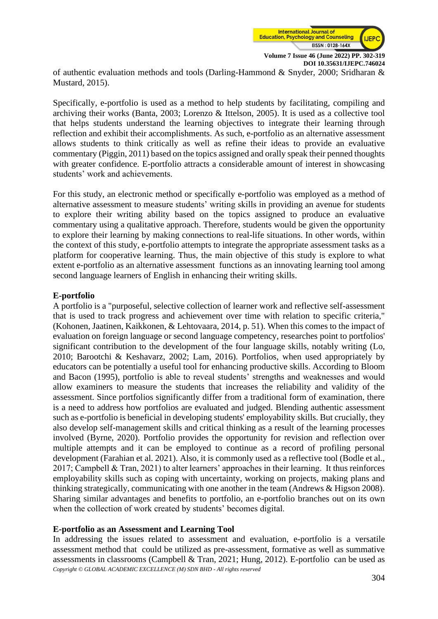

of authentic evaluation methods and tools (Darling-Hammond & Snyder, 2000; Sridharan & Mustard, 2015).

Specifically, e-portfolio is used as a method to help students by facilitating, compiling and archiving their works (Banta, 2003; Lorenzo & Ittelson, 2005). It is used as a collective tool that helps students understand the learning objectives to integrate their learning through reflection and exhibit their accomplishments. As such, e-portfolio as an alternative assessment allows students to think critically as well as refine their ideas to provide an evaluative commentary (Piggin, 2011) based on the topics assigned and orally speak their penned thoughts with greater confidence. E-portfolio attracts a considerable amount of interest in showcasing students' work and achievements.

For this study, an electronic method or specifically e-portfolio was employed as a method of alternative assessment to measure students' writing skills in providing an avenue for students to explore their writing ability based on the topics assigned to produce an evaluative commentary using a qualitative approach. Therefore, students would be given the opportunity to explore their learning by making connections to real-life situations. In other words, within the context of this study, e-portfolio attempts to integrate the appropriate assessment tasks as a platform for cooperative learning. Thus, the main objective of this study is explore to what extent e-portfolio as an alternative assessment functions as an innovating learning tool among second language learners of English in enhancing their writing skills.

## **E-portfolio**

A portfolio is a "purposeful, selective collection of learner work and reflective self-assessment that is used to track progress and achievement over time with relation to specific criteria," (Kohonen, Jaatinen, Kaikkonen, & Lehtovaara, 2014, p. 51). When this comes to the impact of evaluation on foreign language or second language competency, researches point to portfolios' significant contribution to the development of the four language skills, notably writing (Lo, 2010; Barootchi & Keshavarz, 2002; Lam, 2016). Portfolios, when used appropriately by educators can be potentially a useful tool for enhancing productive skills. According to Bloom and Bacon (1995), portfolio is able to reveal students' strengths and weaknesses and would allow examiners to measure the students that increases the reliability and validity of the assessment. Since portfolios significantly differ from a traditional form of examination, there is a need to address how portfolios are evaluated and judged. Blending authentic assessment such as e-portfolio is beneficial in developing students' employability skills. But crucially, they also develop self-management skills and critical thinking as a result of the learning processes involved (Byrne, 2020). Portfolio provides the opportunity for revision and reflection over multiple attempts and it can be employed to continue as a record of profiling personal development (Farahian et al. 2021). Also, it is commonly used as a reflective tool (Bodle et al., 2017; Campbell & Tran, 2021) to alter learners' approaches in their learning. It thus reinforces employability skills such as coping with uncertainty, working on projects, making plans and thinking strategically, communicating with one another in the team (Andrews & Higson 2008). Sharing similar advantages and benefits to portfolio, an e-portfolio branches out on its own when the collection of work created by students' becomes digital.

## **E-portfolio as an Assessment and Learning Tool**

*Copyright © GLOBAL ACADEMIC EXCELLENCE (M) SDN BHD - All rights reserved* In addressing the issues related to assessment and evaluation, e-portfolio is a versatile assessment method that could be utilized as pre-assessment, formative as well as summative assessments in classrooms (Campbell & Tran, 2021; Hung, 2012). E-portfolio can be used as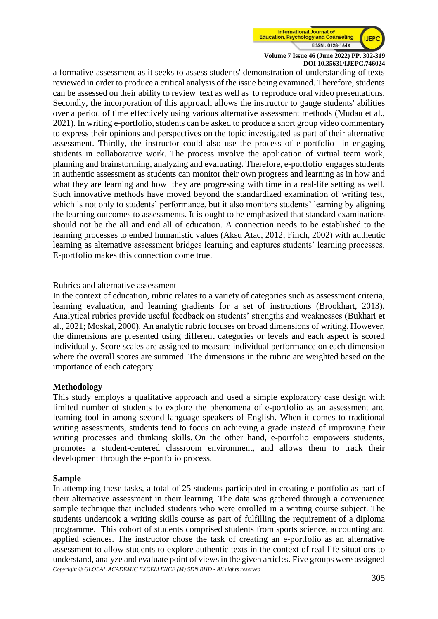

a formative assessment as it seeks to assess students' demonstration of understanding of texts reviewed in order to produce a critical analysis of the issue being examined. Therefore, students can be assessed on their ability to review text as well as to reproduce oral video presentations. Secondly, the incorporation of this approach allows the instructor to gauge students' abilities over a period of time effectively using various alternative assessment methods (Mudau et al., 2021). In writing e-portfolio, students can be asked to produce a short group video commentary to express their opinions and perspectives on the topic investigated as part of their alternative assessment. Thirdly, the instructor could also use the process of e-portfolio in engaging students in collaborative work. The process involve the application of virtual team work, planning and brainstorming, analyzing and evaluating. Therefore, e-portfolio engages students in authentic assessment as students can monitor their own progress and learning as in how and what they are learning and how they are progressing with time in a real-life setting as well. Such innovative methods have moved beyond the standardized examination of writing test, which is not only to students' performance, but it also monitors students' learning by aligning the learning outcomes to assessments. It is ought to be emphasized that standard examinations should not be the all and end all of education. A connection needs to be established to the learning processes to embed humanistic values (Aksu Atac, 2012; Finch, 2002) with authentic learning as alternative assessment bridges learning and captures students' learning processes. E-portfolio makes this connection come true.

## Rubrics and alternative assessment

In the context of education, rubric relates to a variety of categories such as assessment criteria, learning evaluation, and learning gradients for a set of instructions (Brookhart, 2013). Analytical rubrics provide useful feedback on students' strengths and weaknesses (Bukhari et al., 2021; Moskal, 2000). An analytic rubric focuses on broad dimensions of writing. However, the dimensions are presented using different categories or levels and each aspect is scored individually. Score scales are assigned to measure individual performance on each dimension where the overall scores are summed. The dimensions in the rubric are weighted based on the importance of each category.

## **Methodology**

This study employs a qualitative approach and used a simple exploratory case design with limited number of students to explore the phenomena of e-portfolio as an assessment and learning tool in among second language speakers of English. When it comes to traditional writing assessments, students tend to focus on achieving a grade instead of improving their writing processes and thinking skills. On the other hand, e-portfolio empowers students, promotes a student-centered classroom environment, and allows them to track their development through the e-portfolio process.

### **Sample**

*Copyright © GLOBAL ACADEMIC EXCELLENCE (M) SDN BHD - All rights reserved* In attempting these tasks, a total of 25 students participated in creating e-portfolio as part of their alternative assessment in their learning. The data was gathered through a convenience sample technique that included students who were enrolled in a writing course subject. The students undertook a writing skills course as part of fulfilling the requirement of a diploma programme. This cohort of students comprised students from sports science, accounting and applied sciences. The instructor chose the task of creating an e-portfolio as an alternative assessment to allow students to explore authentic texts in the context of real-life situations to understand, analyze and evaluate point of views in the given articles. Five groups were assigned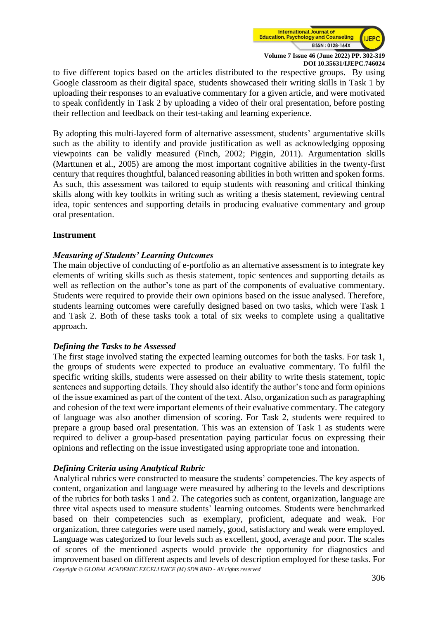

to five different topics based on the articles distributed to the respective groups. By using Google classroom as their digital space, students showcased their writing skills in Task 1 by uploading their responses to an evaluative commentary for a given article, and were motivated to speak confidently in Task 2 by uploading a video of their oral presentation, before posting their reflection and feedback on their test-taking and learning experience.

By adopting this multi-layered form of alternative assessment, students' argumentative skills such as the ability to identify and provide justification as well as acknowledging opposing viewpoints can be validly measured (Finch, 2002; Piggin, 2011). Argumentation skills (Marttunen et al., 2005) are among the most important cognitive abilities in the twenty-first century that requires thoughtful, balanced reasoning abilities in both written and spoken forms. As such, this assessment was tailored to equip students with reasoning and critical thinking skills along with key toolkits in writing such as writing a thesis statement, reviewing central idea, topic sentences and supporting details in producing evaluative commentary and group oral presentation.

## **Instrument**

## *Measuring of Students' Learning Outcomes*

The main objective of conducting of e-portfolio as an alternative assessment is to integrate key elements of writing skills such as thesis statement, topic sentences and supporting details as well as reflection on the author's tone as part of the components of evaluative commentary. Students were required to provide their own opinions based on the issue analysed. Therefore, students learning outcomes were carefully designed based on two tasks, which were Task 1 and Task 2. Both of these tasks took a total of six weeks to complete using a qualitative approach.

### *Defining the Tasks to be Assessed*

The first stage involved stating the expected learning outcomes for both the tasks. For task 1, the groups of students were expected to produce an evaluative commentary. To fulfil the specific writing skills, students were assessed on their ability to write thesis statement, topic sentences and supporting details. They should also identify the author's tone and form opinions of the issue examined as part of the content of the text. Also, organization such as paragraphing and cohesion of the text were important elements of their evaluative commentary. The category of language was also another dimension of scoring. For Task 2, students were required to prepare a group based oral presentation. This was an extension of Task 1 as students were required to deliver a group-based presentation paying particular focus on expressing their opinions and reflecting on the issue investigated using appropriate tone and intonation.

### *Defining Criteria using Analytical Rubric*

*Copyright © GLOBAL ACADEMIC EXCELLENCE (M) SDN BHD - All rights reserved* Analytical rubrics were constructed to measure the students' competencies. The key aspects of content, organization and language were measured by adhering to the levels and descriptions of the rubrics for both tasks 1 and 2. The categories such as content, organization, language are three vital aspects used to measure students' learning outcomes. Students were benchmarked based on their competencies such as exemplary, proficient, adequate and weak. For organization, three categories were used namely, good, satisfactory and weak were employed. Language was categorized to four levels such as excellent, good, average and poor. The scales of scores of the mentioned aspects would provide the opportunity for diagnostics and improvement based on different aspects and levels of description employed for these tasks. For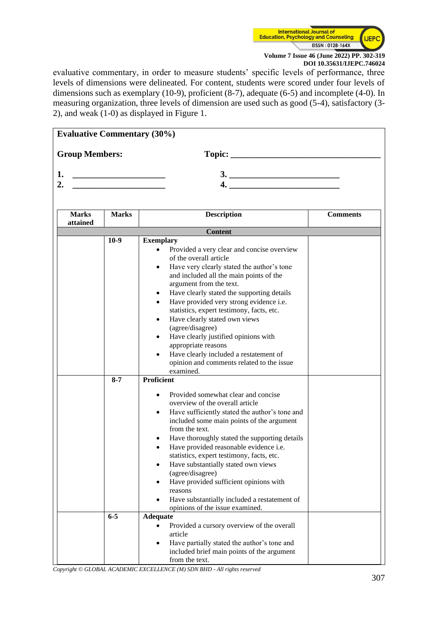

evaluative commentary, in order to measure students' specific levels of performance, three levels of dimensions were delineated. For content, students were scored under four levels of dimensions such as exemplary (10-9), proficient (8-7), adequate (6-5) and incomplete (4-0). In measuring organization, three levels of dimension are used such as good (5-4), satisfactory (3- 2), and weak (1-0) as displayed in Figure 1.

| <b>Evaluative Commentary (30%)</b> |              |                                                                                   |                 |
|------------------------------------|--------------|-----------------------------------------------------------------------------------|-----------------|
| <b>Group Members:</b>              |              |                                                                                   |                 |
| 1.                                 |              |                                                                                   |                 |
| 2.                                 |              |                                                                                   |                 |
|                                    |              |                                                                                   |                 |
|                                    |              |                                                                                   |                 |
| <b>Marks</b>                       | <b>Marks</b> | <b>Description</b>                                                                | <b>Comments</b> |
| attained                           |              |                                                                                   |                 |
|                                    |              | <b>Content</b>                                                                    |                 |
|                                    | $10-9$       | <b>Exemplary</b>                                                                  |                 |
|                                    |              | Provided a very clear and concise overview<br>$\bullet$<br>of the overall article |                 |
|                                    |              | Have very clearly stated the author's tone<br>$\bullet$                           |                 |
|                                    |              | and included all the main points of the                                           |                 |
|                                    |              | argument from the text.                                                           |                 |
|                                    |              | Have clearly stated the supporting details<br>$\bullet$                           |                 |
|                                    |              | Have provided very strong evidence i.e.<br>$\bullet$                              |                 |
|                                    |              | statistics, expert testimony, facts, etc.                                         |                 |
|                                    |              | Have clearly stated own views<br>$\bullet$                                        |                 |
|                                    |              | (agree/disagree)                                                                  |                 |
|                                    |              | Have clearly justified opinions with<br>$\bullet$                                 |                 |
|                                    |              | appropriate reasons                                                               |                 |
|                                    |              | Have clearly included a restatement of                                            |                 |
|                                    |              | opinion and comments related to the issue                                         |                 |
|                                    |              | examined.                                                                         |                 |
|                                    | $8 - 7$      | <b>Proficient</b>                                                                 |                 |
|                                    |              | Provided somewhat clear and concise                                               |                 |
|                                    |              | overview of the overall article                                                   |                 |
|                                    |              | Have sufficiently stated the author's tone and<br>$\bullet$                       |                 |
|                                    |              | included some main points of the argument                                         |                 |
|                                    |              | from the text.                                                                    |                 |
|                                    |              | Have thoroughly stated the supporting details<br>٠                                |                 |
|                                    |              | Have provided reasonable evidence i.e.<br>$\bullet$                               |                 |
|                                    |              | statistics, expert testimony, facts, etc.                                         |                 |
|                                    |              | Have substantially stated own views                                               |                 |
|                                    |              | (agree/disagree)<br>Have provided sufficient opinions with                        |                 |
|                                    |              | reasons                                                                           |                 |
|                                    |              | Have substantially included a restatement of                                      |                 |
|                                    |              | opinions of the issue examined.                                                   |                 |
|                                    | $6-5$        | <b>Adequate</b>                                                                   |                 |
|                                    |              | Provided a cursory overview of the overall                                        |                 |
|                                    |              | article                                                                           |                 |
|                                    |              | Have partially stated the author's tone and<br>٠                                  |                 |
|                                    |              | included brief main points of the argument                                        |                 |
|                                    |              | from the text.                                                                    |                 |

*Copyright © GLOBAL ACADEMIC EXCELLENCE (M) SDN BHD - All rights reserved*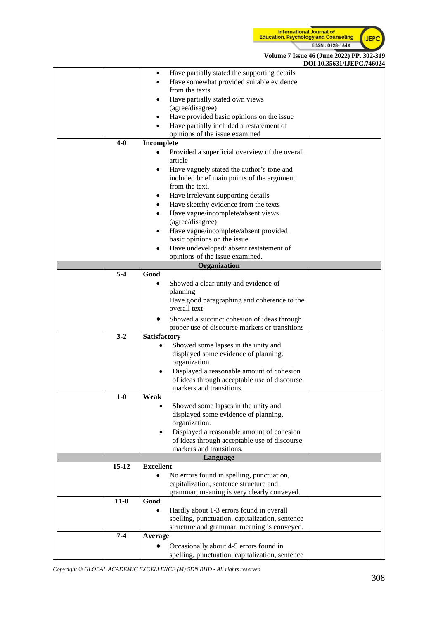

**Volume 7 Issue 46 (June 2022) PP. 302-319**

|           |                  |                                                 | DOI 10.35631/IJEPC.746024 |
|-----------|------------------|-------------------------------------------------|---------------------------|
|           |                  | Have partially stated the supporting details    |                           |
|           |                  | Have somewhat provided suitable evidence        |                           |
|           |                  | from the texts                                  |                           |
|           |                  | Have partially stated own views                 |                           |
|           |                  | (agree/disagree)                                |                           |
|           |                  | Have provided basic opinions on the issue       |                           |
|           |                  | Have partially included a restatement of        |                           |
|           |                  | opinions of the issue examined                  |                           |
| $4-0$     |                  |                                                 |                           |
|           | Incomplete       |                                                 |                           |
|           |                  | Provided a superficial overview of the overall  |                           |
|           |                  | article                                         |                           |
|           | ٠                | Have vaguely stated the author's tone and       |                           |
|           |                  | included brief main points of the argument      |                           |
|           |                  | from the text.                                  |                           |
|           |                  | Have irrelevant supporting details              |                           |
|           |                  | Have sketchy evidence from the texts            |                           |
|           |                  | Have vague/incomplete/absent views              |                           |
|           |                  | (agree/disagree)                                |                           |
|           |                  | Have vague/incomplete/absent provided           |                           |
|           |                  | basic opinions on the issue                     |                           |
|           |                  | Have undeveloped/absent restatement of          |                           |
|           |                  | opinions of the issue examined.                 |                           |
|           |                  | Organization                                    |                           |
| $5 - 4$   | Good             |                                                 |                           |
|           |                  |                                                 |                           |
|           |                  | Showed a clear unity and evidence of            |                           |
|           |                  | planning                                        |                           |
|           |                  | Have good paragraphing and coherence to the     |                           |
|           |                  | overall text                                    |                           |
|           |                  | Showed a succinct cohesion of ideas through     |                           |
|           |                  | proper use of discourse markers or transitions  |                           |
| $3 - 2$   | Satisfactory     |                                                 |                           |
|           | $\bullet$        | Showed some lapses in the unity and             |                           |
|           |                  | displayed some evidence of planning.            |                           |
|           |                  | organization.                                   |                           |
|           |                  | Displayed a reasonable amount of cohesion       |                           |
|           |                  | of ideas through acceptable use of discourse    |                           |
|           |                  | markers and transitions.                        |                           |
| $1-0$     | Weak             |                                                 |                           |
|           |                  | Showed some lapses in the unity and             |                           |
|           |                  | displayed some evidence of planning.            |                           |
|           |                  | organization.                                   |                           |
|           | $\bullet$        | Displayed a reasonable amount of cohesion       |                           |
|           |                  | of ideas through acceptable use of discourse    |                           |
|           |                  | markers and transitions.                        |                           |
|           |                  | Language                                        |                           |
| $15 - 12$ | <b>Excellent</b> |                                                 |                           |
|           |                  |                                                 |                           |
|           |                  | No errors found in spelling, punctuation,       |                           |
|           |                  | capitalization, sentence structure and          |                           |
|           |                  | grammar, meaning is very clearly conveyed.      |                           |
| $11-8$    | Good             |                                                 |                           |
|           |                  | Hardly about 1-3 errors found in overall        |                           |
|           |                  | spelling, punctuation, capitalization, sentence |                           |
|           |                  | structure and grammar, meaning is conveyed.     |                           |
| $7 - 4$   | Average          |                                                 |                           |
|           |                  | Occasionally about 4-5 errors found in          |                           |
|           |                  | spelling, punctuation, capitalization, sentence |                           |
|           |                  |                                                 |                           |

*Copyright © GLOBAL ACADEMIC EXCELLENCE (M) SDN BHD - All rights reserved*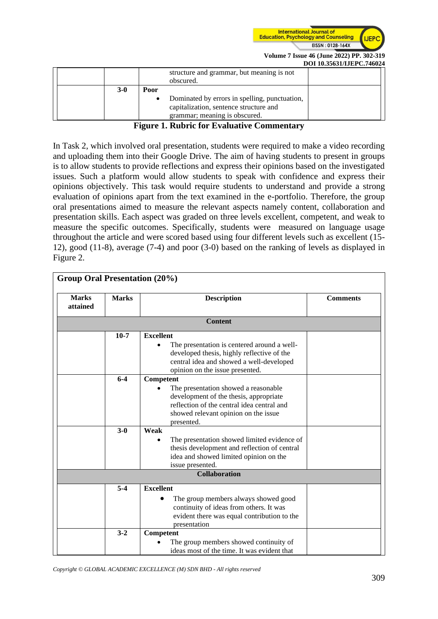

|  |       |           |                                                        | <u>DOI IVREDIANUM ON 1995</u> |
|--|-------|-----------|--------------------------------------------------------|-------------------------------|
|  |       |           | structure and grammar, but meaning is not<br>obscured. |                               |
|  | $3-0$ | Poor      |                                                        |                               |
|  |       | $\bullet$ | Dominated by errors in spelling, punctuation,          |                               |
|  |       |           | capitalization, sentence structure and                 |                               |
|  |       |           | grammar; meaning is obscured.                          |                               |

#### **Figure 1. Rubric for Evaluative Commentary**

In Task 2, which involved oral presentation, students were required to make a video recording and uploading them into their Google Drive. The aim of having students to present in groups is to allow students to provide reflections and express their opinions based on the investigated issues. Such a platform would allow students to speak with confidence and express their opinions objectively. This task would require students to understand and provide a strong evaluation of opinions apart from the text examined in the e-portfolio. Therefore, the group oral presentations aimed to measure the relevant aspects namely content, collaboration and presentation skills. Each aspect was graded on three levels excellent, competent, and weak to measure the specific outcomes. Specifically, students were measured on language usage throughout the article and were scored based using four different levels such as excellent (15- 12), good (11-8), average (7-4) and poor (3-0) based on the ranking of levels as displayed in Figure 2.

| <b>Marks</b><br>attained | <b>Marks</b> | <b>Description</b>                           | <b>Comments</b> |
|--------------------------|--------------|----------------------------------------------|-----------------|
|                          |              | <b>Content</b>                               |                 |
|                          | $10-7$       | <b>Excellent</b>                             |                 |
|                          |              | The presentation is centered around a well-  |                 |
|                          |              | developed thesis, highly reflective of the   |                 |
|                          |              | central idea and showed a well-developed     |                 |
|                          |              | opinion on the issue presented.              |                 |
|                          | $6 - 4$      | Competent                                    |                 |
|                          |              | The presentation showed a reasonable         |                 |
|                          |              | development of the thesis, appropriate       |                 |
|                          |              | reflection of the central idea central and   |                 |
|                          |              | showed relevant opinion on the issue         |                 |
|                          |              | presented.                                   |                 |
|                          | $3-0$        | Weak                                         |                 |
|                          |              | The presentation showed limited evidence of  |                 |
|                          |              | thesis development and reflection of central |                 |
|                          |              | idea and showed limited opinion on the       |                 |
|                          |              | issue presented.                             |                 |
|                          |              | <b>Collaboration</b>                         |                 |
|                          | $5 - 4$      | <b>Excellent</b>                             |                 |
|                          |              | The group members always showed good         |                 |
|                          |              | continuity of ideas from others. It was      |                 |
|                          |              | evident there was equal contribution to the  |                 |
|                          |              | presentation                                 |                 |
|                          | $3 - 2$      | Competent                                    |                 |
|                          |              | The group members showed continuity of       |                 |
|                          |              | ideas most of the time. It was evident that  |                 |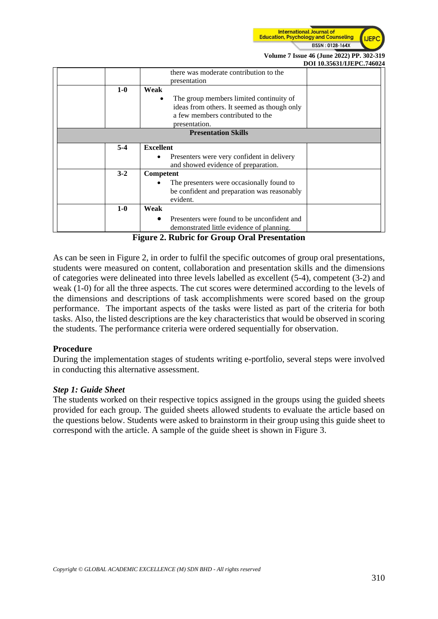

|                            | рот тороотный спятой.                        |  |
|----------------------------|----------------------------------------------|--|
|                            | there was moderate contribution to the       |  |
|                            | presentation                                 |  |
| $1-0$                      | Weak                                         |  |
|                            | The group members limited continuity of<br>٠ |  |
|                            | ideas from others. It seemed as though only  |  |
|                            | a few members contributed to the             |  |
|                            | presentation.                                |  |
| <b>Presentation Skills</b> |                                              |  |
| $5-4$                      | <b>Excellent</b>                             |  |
|                            | Presenters were very confident in delivery   |  |
|                            | and showed evidence of preparation.          |  |
| $3 - 2$                    | Competent                                    |  |
|                            | The presenters were occasionally found to    |  |
|                            | be confident and preparation was reasonably  |  |
|                            | evident.                                     |  |
| $1-0$                      | Weak                                         |  |
|                            | Presenters were found to be unconfident and  |  |
|                            | demonstrated little evidence of planning.    |  |

**Figure 2. Rubric for Group Oral Presentation**

As can be seen in Figure 2, in order to fulfil the specific outcomes of group oral presentations, students were measured on content, collaboration and presentation skills and the dimensions of categories were delineated into three levels labelled as excellent (5-4), competent (3-2) and weak (1-0) for all the three aspects. The cut scores were determined according to the levels of the dimensions and descriptions of task accomplishments were scored based on the group performance. The important aspects of the tasks were listed as part of the criteria for both tasks. Also, the listed descriptions are the key characteristics that would be observed in scoring the students. The performance criteria were ordered sequentially for observation.

### **Procedure**

During the implementation stages of students writing e-portfolio, several steps were involved in conducting this alternative assessment.

### *Step 1: Guide Sheet*

The students worked on their respective topics assigned in the groups using the guided sheets provided for each group. The guided sheets allowed students to evaluate the article based on the questions below. Students were asked to brainstorm in their group using this guide sheet to correspond with the article. A sample of the guide sheet is shown in Figure 3.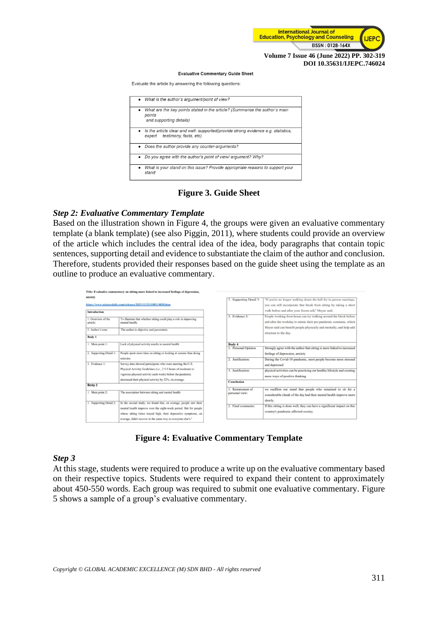

#### **Evaluative Commentary Guide Sheet**

Evaluate the article by answering the following questions:

| What is the author's argument/point of view?                                                                                     |
|----------------------------------------------------------------------------------------------------------------------------------|
| What are the key points stated in the article? (Summarise the author's main<br>points<br>and supporting details)                 |
| $\bullet$ Is the article clear and well- supported (provide strong evidence e.g. statistics,<br>testimony, facts, etc)<br>expert |
| • Does the author provide any counter-arguments?                                                                                 |
| • Do you agree with the author's point of view/ argument? Why?                                                                   |
| What is your stand on this issue? Provide appropriate reasons to support your<br>stand                                           |

## **Figure 3. Guide Sheet**

## *Step 2: Evaluative Commentary Template*

Based on the illustration shown in Figure 4, the groups were given an evaluative commentary template (a blank template) (see also Piggin, 2011), where students could provide an overview of the article which includes the central idea of the idea, body paragraphs that contain topic sentences, supporting detail and evidence to substantiate the claim of the author and conclusion. Therefore, students provided their responses based on the guide sheet using the template as an outline to produce an evaluative commentary.

|                                                                        | Title: Evaluative commentary on sitting more linked to increased feelings of depression,                                    |                                     |                                                                                                                                                                                                                                      |  |
|------------------------------------------------------------------------|-----------------------------------------------------------------------------------------------------------------------------|-------------------------------------|--------------------------------------------------------------------------------------------------------------------------------------------------------------------------------------------------------------------------------------|--|
| anxiety                                                                | https://www.sciencedaily.com/releases/2021/11/211108114830.htm                                                              | 2. Supporting Detail 3:             | "If you're no longer walking down the hall for in-person meetings,<br>you can still incorporate that break from sitting by taking a short                                                                                            |  |
| Introduction                                                           |                                                                                                                             |                                     | walk before and after your Zoom call," Meyer said.                                                                                                                                                                                   |  |
| 1. Overview of the<br>article:                                         | To illustrate that whether sitting could play a role in improving<br>mental health.                                         | 3. Evidence 3:                      | People working from home can try walking around the block before<br>and after the workday to mimic their pre-pandemic commute, which<br>Meyer said can benefit people physically and mentally, and help add<br>structure to the day. |  |
| 2. Author's tone:                                                      | The author is objective and pessimistic                                                                                     |                                     |                                                                                                                                                                                                                                      |  |
| Body 1                                                                 |                                                                                                                             |                                     |                                                                                                                                                                                                                                      |  |
| 1. Main point 1:<br>Lack of physical activity results in mental health |                                                                                                                             | Body 4                              |                                                                                                                                                                                                                                      |  |
|                                                                        |                                                                                                                             | 1. Personal Opinion                 | Strongly agree with the author that sitting is more linked to increased                                                                                                                                                              |  |
| 2. Supporting Detail 1:                                                | People spent more time on sitting or looking at screens than doing                                                          |                                     | feelings of depression, anxiety                                                                                                                                                                                                      |  |
|                                                                        | exercise.                                                                                                                   | 2. Justification:                   | During the Covid-19 pandemic, most people become more stressed                                                                                                                                                                       |  |
| 3. Evidence 1:                                                         | Survey data showed participants who were meeting the U.S.                                                                   |                                     | and depressed                                                                                                                                                                                                                        |  |
|                                                                        | Physical Activity Guidelines (i.e., 2.5-5 hours of moderate to<br>vigorous physical activity each week) before the pandemic | 3. Justification:                   | physical activities can be practicing our healthy lifestyle and creating<br>more ways of positive thinking                                                                                                                           |  |
|                                                                        | decreased their physical activity by 32%, on average.                                                                       |                                     |                                                                                                                                                                                                                                      |  |
| Body 2                                                                 |                                                                                                                             | <b>Conclusion</b>                   |                                                                                                                                                                                                                                      |  |
| 1. Main point 2:                                                       | The association between sitting and mental health                                                                           | 1. Restatement of<br>personal view: | we reaffirm our stand that people who remained to sit for a<br>considerable chunk of the day had their mental health improve more                                                                                                    |  |
| 2. Supporting Detail 2:                                                | In the second study, we found that, on average, people saw their                                                            |                                     | slowly.                                                                                                                                                                                                                              |  |
|                                                                        | mental health improve over the eight-week period. But for people                                                            | 2. Final comments:                  | If this sitting is done well, they can have a significant impact on this                                                                                                                                                             |  |
|                                                                        | whose sitting times stayed high, their depressive symptoms, on                                                              |                                     | country's pandemic-affected society.                                                                                                                                                                                                 |  |
|                                                                        | average, didn't recover in the same way as everyone else's."                                                                |                                     |                                                                                                                                                                                                                                      |  |
|                                                                        |                                                                                                                             |                                     |                                                                                                                                                                                                                                      |  |

**Figure 4: Evaluative Commentary Template**

### *Step 3*

At this stage, students were required to produce a write up on the evaluative commentary based on their respective topics. Students were required to expand their content to approximately about 450-550 words. Each group was required to submit one evaluative commentary. Figure 5 shows a sample of a group's evaluative commentary.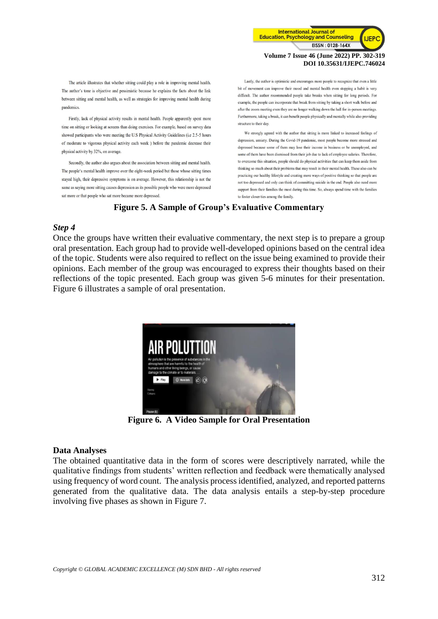

The article illustrates that whether sitting could play a role in improving mental health. The author's tone is objective and pessimistic because he explains the facts about the link between sitting and mental health, as well as strategies for improving mental health during pandemics

Firstly, lack of physical activity results in mental health. People apparently spent more time on sitting or looking at screens than doing exercises. For example, based on survey data showed narticinants who were meeting the U.S. Physical Activity Guidelines (i.e. 2.5-5 hours) of moderate to vigorous physical activity each week) before the pandemic decrease their physical activity by 32%, on average

Secondly, the author also argues about the association between sitting and mental health. The people's mental health improve over the eight-week period but those whose sitting times stayed high, their depressive symptoms is on average. However, this relationship is not the same as saying more sitting causes depression as its possible people who were more depressed sat more or that people who sat more became more depressed.

Lastly, the author is optimistic and encourages more people to recognize that even a little bit of movement can improve their mood and mental health even stopping a habit is very difficult. The author recommended people take breaks when sitting for long periods. For example, the people can incorporate that break from sitting by taking a short walk before and after the zoom meeting even they are no longer walking down the hall for in-person meetings. Furthermore, taking a break, it can benefit people physically and mentally while also providing structure to their day.

We strongly agreed with the author that sitting is more linked to increased feelings of depression, anxiety. During the Covid-19 pandemic, most people become more stressed and depressed because some of them may lose their income in business or be unemployed, and some of them have been dismissed from their job due to lack of employee salaries. Therefore, to overcome this situation, people should do physical activities that can keep them aside from thinking so much about their problems that may result in their mental health. These also can be practicing our healthy lifestyle and creating more ways of positive thinking so that people are not too depressed and only can think of committing suicide in the end. People also need more support from their families the most during this time. So, always spend time with the families to foster closer ties among the family.

### **Figure 5. A Sample of Group's Evaluative Commentary**

### *Step 4*

Once the groups have written their evaluative commentary, the next step is to prepare a group oral presentation. Each group had to provide well-developed opinions based on the central idea of the topic. Students were also required to reflect on the issue being examined to provide their opinions. Each member of the group was encouraged to express their thoughts based on their reflections of the topic presented. Each group was given 5-6 minutes for their presentation. Figure 6 illustrates a sample of oral presentation.



**Figure 6. A Video Sample for Oral Presentation**

### **Data Analyses**

The obtained quantitative data in the form of scores were descriptively narrated, while the qualitative findings from students' written reflection and feedback were thematically analysed using frequency of word count. The analysis process identified, analyzed, and reported patterns generated from the qualitative data. The data analysis entails a step-by-step procedure involving five phases as shown in Figure 7.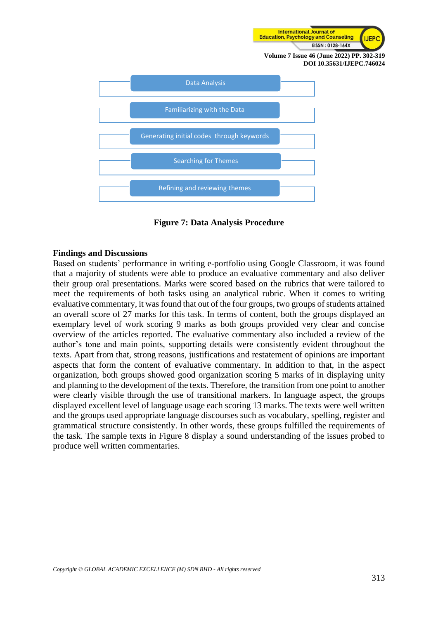



**Figure 7: Data Analysis Procedure**

### **Findings and Discussions**

Based on students' performance in writing e-portfolio using Google Classroom, it was found that a majority of students were able to produce an evaluative commentary and also deliver their group oral presentations. Marks were scored based on the rubrics that were tailored to meet the requirements of both tasks using an analytical rubric. When it comes to writing evaluative commentary, it was found that out of the four groups, two groups of students attained an overall score of 27 marks for this task. In terms of content, both the groups displayed an exemplary level of work scoring 9 marks as both groups provided very clear and concise overview of the articles reported. The evaluative commentary also included a review of the author's tone and main points, supporting details were consistently evident throughout the texts. Apart from that, strong reasons, justifications and restatement of opinions are important aspects that form the content of evaluative commentary. In addition to that, in the aspect organization, both groups showed good organization scoring 5 marks of in displaying unity and planning to the development of the texts. Therefore, the transition from one point to another were clearly visible through the use of transitional markers. In language aspect, the groups displayed excellent level of language usage each scoring 13 marks. The texts were well written and the groups used appropriate language discourses such as vocabulary, spelling, register and grammatical structure consistently. In other words, these groups fulfilled the requirements of the task. The sample texts in Figure 8 display a sound understanding of the issues probed to produce well written commentaries.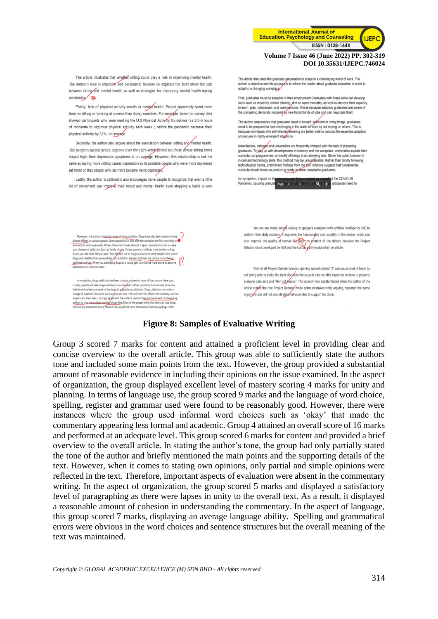

### **Figure 8: Samples of Evaluative Writing**

Group 3 scored 7 marks for content and attained a proficient level in providing clear and concise overview to the overall article. This group was able to sufficiently state the authors tone and included some main points from the text. However, the group provided a substantial amount of reasonable evidence in including their opinions on the issue examined. In the aspect of organization, the group displayed excellent level of mastery scoring 4 marks for unity and planning. In terms of language use, the group scored 9 marks and the language of word choice, spelling, register and grammar used were found to be reasonably good. However, there were instances where the group used informal word choices such as 'okay' that made the commentary appearing less formal and academic. Group 4 attained an overall score of 16 marks and performed at an adequate level. This group scored 6 marks for content and provided a brief overview to the overall article. In stating the author's tone, the group had only partially stated the tone of the author and briefly mentioned the main points and the supporting details of the text. However, when it comes to stating own opinions, only partial and simple opinions were reflected in the text. Therefore, important aspects of evaluation were absent in the commentary writing. In the aspect of organization, the group scored 5 marks and displayed a satisfactory level of paragraphing as there were lapses in unity to the overall text. As a result, it displayed a reasonable amount of cohesion in understanding the commentary. In the aspect of language, this group scored 7 marks, displaying an average language ability. Spelling and grammatical errors were obvious in the word choices and sentence structures but the overall meaning of the text was maintained.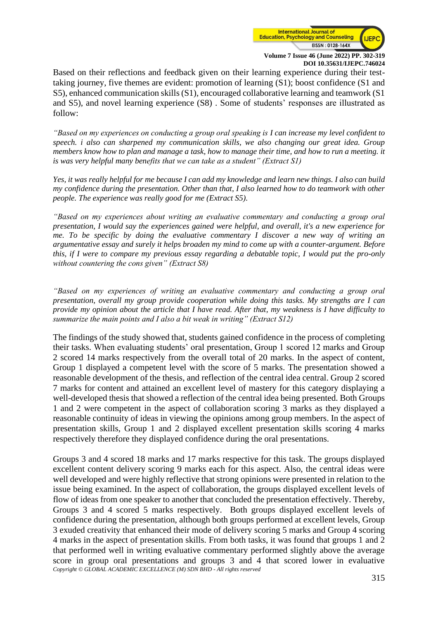

Based on their reflections and feedback given on their learning experience during their testtaking journey, five themes are evident: promotion of learning (S1); boost confidence (S1 and S5), enhanced communication skills (S1), encouraged collaborative learning and teamwork (S1 and S5), and novel learning experience (S8) . Some of students' responses are illustrated as follow:

*"Based on my experiences on conducting a group oral speaking is I can increase my level confident to speech. i also can sharpened my communication skills, we also changing our great idea. Group members know how to plan and manage a task, how to manage their time, and how to run a meeting. it is was very helpful many benefits that we can take as a student" (Extract S1)*

*Yes, it was really helpful for me because I can add my knowledge and learn new things. I also can build my confidence during the presentation. Other than that, I also learned how to do teamwork with other people. The experience was really good for me (Extract S5).*

*"Based on my experiences about writing an evaluative commentary and conducting a group oral presentation, I would say the experiences gained were helpful, and overall, it's a new experience for me. To be specific by doing the evaluative commentary I discover a new way of writing an argumentative essay and surely it helps broaden my mind to come up with a counter-argument. Before this, if I were to compare my previous essay regarding a debatable topic, I would put the pro-only without countering the cons given" (Extract S8)*

*"Based on my experiences of writing an evaluative commentary and conducting a group oral presentation, overall my group provide cooperation while doing this tasks. My strengths are I can provide my opinion about the article that I have read. After that, my weakness is I have difficulty to summarize the main points and I also a bit weak in writing" (Extract S12)*

The findings of the study showed that, students gained confidence in the process of completing their tasks. When evaluating students' oral presentation, Group 1 scored 12 marks and Group 2 scored 14 marks respectively from the overall total of 20 marks. In the aspect of content, Group 1 displayed a competent level with the score of 5 marks. The presentation showed a reasonable development of the thesis, and reflection of the central idea central. Group 2 scored 7 marks for content and attained an excellent level of mastery for this category displaying a well-developed thesis that showed a reflection of the central idea being presented. Both Groups 1 and 2 were competent in the aspect of collaboration scoring 3 marks as they displayed a reasonable continuity of ideas in viewing the opinions among group members. In the aspect of presentation skills, Group 1 and 2 displayed excellent presentation skills scoring 4 marks respectively therefore they displayed confidence during the oral presentations.

*Copyright © GLOBAL ACADEMIC EXCELLENCE (M) SDN BHD - All rights reserved* Groups 3 and 4 scored 18 marks and 17 marks respective for this task. The groups displayed excellent content delivery scoring 9 marks each for this aspect. Also, the central ideas were well developed and were highly reflective that strong opinions were presented in relation to the issue being examined. In the aspect of collaboration, the groups displayed excellent levels of flow of ideas from one speaker to another that concluded the presentation effectively. Thereby, Groups 3 and 4 scored 5 marks respectively. Both groups displayed excellent levels of confidence during the presentation, although both groups performed at excellent levels, Group 3 exuded creativity that enhanced their mode of delivery scoring 5 marks and Group 4 scoring 4 marks in the aspect of presentation skills. From both tasks, it was found that groups 1 and 2 that performed well in writing evaluative commentary performed slightly above the average score in group oral presentations and groups 3 and 4 that scored lower in evaluative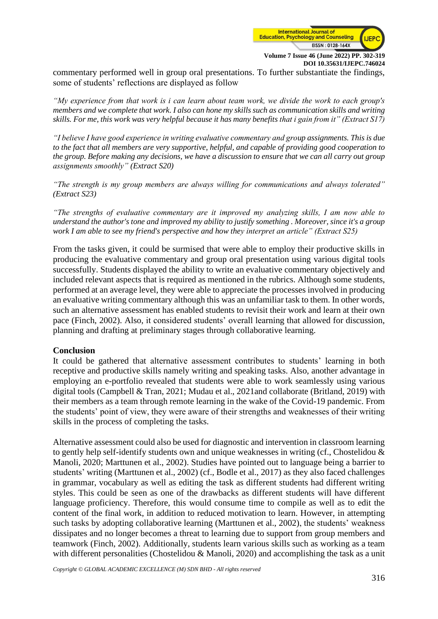

commentary performed well in group oral presentations. To further substantiate the findings, some of students' reflections are displayed as follow

*"My experience from that work is i can learn about team work, we divide the work to each group's members and we complete that work. I also can hone my skills such as communication skills and writing skills. For me, this work was very helpful because it has many benefits that i gain from it" (Extract S17)*

*"I believe I have good experience in writing evaluative commentary and group assignments. This is due to the fact that all members are very supportive, helpful, and capable of providing good cooperation to the group. Before making any decisions, we have a discussion to ensure that we can all carry out group assignments smoothly" (Extract S20)*

*"The strength is my group members are always willing for communications and always tolerated" (Extract S23)*

*"The strengths of evaluative commentary are it improved my analyzing skills, I am now able to understand the author's tone and improved my ability to justify something . Moreover, since it's a group work I am able to see my friend's perspective and how they interpret an article" (Extract S25)*

From the tasks given, it could be surmised that were able to employ their productive skills in producing the evaluative commentary and group oral presentation using various digital tools successfully. Students displayed the ability to write an evaluative commentary objectively and included relevant aspects that is required as mentioned in the rubrics. Although some students, performed at an average level, they were able to appreciate the processes involved in producing an evaluative writing commentary although this was an unfamiliar task to them. In other words, such an alternative assessment has enabled students to revisit their work and learn at their own pace (Finch, 2002). Also, it considered students' overall learning that allowed for discussion, planning and drafting at preliminary stages through collaborative learning.

### **Conclusion**

It could be gathered that alternative assessment contributes to students' learning in both receptive and productive skills namely writing and speaking tasks. Also, another advantage in employing an e-portfolio revealed that students were able to work seamlessly using various digital tools (Campbell & Tran, 2021; Mudau et al., 2021and collaborate (Britland, 2019) with their members as a team through remote learning in the wake of the Covid-19 pandemic. From the students' point of view, they were aware of their strengths and weaknesses of their writing skills in the process of completing the tasks.

Alternative assessment could also be used for diagnostic and intervention in classroom learning to gently help self-identify students own and unique weaknesses in writing (cf., Chostelidou & Manoli, 2020; Marttunen et al., 2002). Studies have pointed out to language being a barrier to students' writing (Marttunen et al., 2002) (cf., Bodle et al., 2017) as they also faced challenges in grammar, vocabulary as well as editing the task as different students had different writing styles. This could be seen as one of the drawbacks as different students will have different language proficiency. Therefore, this would consume time to compile as well as to edit the content of the final work, in addition to reduced motivation to learn. However, in attempting such tasks by adopting collaborative learning (Marttunen et al., 2002), the students' weakness dissipates and no longer becomes a threat to learning due to support from group members and teamwork (Finch, 2002). Additionally, students learn various skills such as working as a team with different personalities (Chostelidou & Manoli, 2020) and accomplishing the task as a unit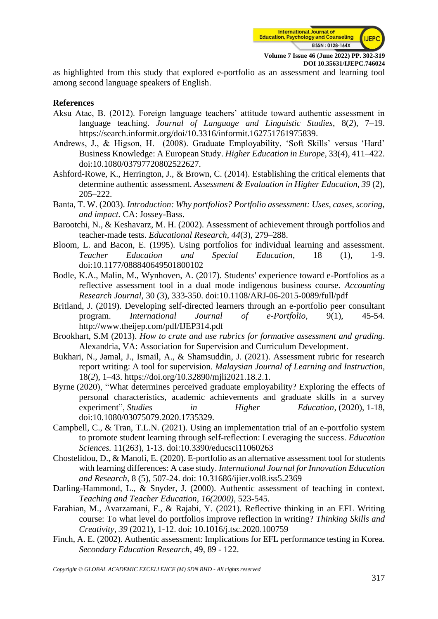

as highlighted from this study that explored e-portfolio as an assessment and learning tool among second language speakers of English.

#### **References**

- Aksu Atac, B. (2012). Foreign language teachers' attitude toward authentic assessment in language teaching. *Journal of Language and Linguistic Studies*, 8(*2*), 7–19. [https://search.informit.org/doi/10.3316/informit.162751761975839.](https://search.informit.org/doi/10.3316/informit.162751761975839)
- Andrews, J., & Higson, H. (2008). Graduate Employability, 'Soft Skills' versus 'Hard' Business Knowledge: A European Study. *Higher Education in Europe*, 33(*4*), 411–422. doi:10.1080/03797720802522627.
- Ashford-Rowe, K., Herrington, J., & Brown, C. (2014). Establishing the critical elements that determine authentic assessment. *Assessment & Evaluation in Higher Education, 39* (2), 205–222.
- Banta, T. W. (2003). *Introduction: Why portfolios? Portfolio assessment: Uses, cases, scoring, and impact.* CA: Jossey-Bass.
- Barootchi, N., & Keshavarz, M. H. (2002). Assessment of achievement through portfolios and teacher-made tests. *Educational Research, 44*(3), 279–288.
- Bloom, L. and Bacon, E. (1995). Using portfolios for individual learning and assessment. *Teacher Education and Special Education*, 18 (1), 1-9. [doi:10.1177/088840649501800102](https://doi.org/10.1177/088840649501800102)
- Bodle, K.A., Malin, M., Wynhoven, A. (2017). Students' experience toward e-Portfolios as a reflective assessment tool in a dual mode indigenous business course. *Accounting Research Journal*, 30 (3), 333-350. [doi:10.1108/ARJ-06-2015-0089/full/pdf](https://www.emerald.com/insight/content/doi/10.1108/ARJ-06-2015-0089/full/pdf)
- Britland, J. (2019). Developing self-directed learners through an e-portfolio peer consultant program. *International Journal of e-Portfolio*, 9(1), 45-54. <http://www.theijep.com/pdf/IJEP314.pdf>
- Brookhart, S.M (2013). *How to crate and use rubrics for formative assessment and grading*. Alexandria, VA: Association for Supervision and Curriculum Development.
- Bukhari, N., Jamal, J., Ismail, A., & Shamsuddin, J. (2021). Assessment rubric for research report writing: A tool for supervision. *Malaysian Journal of Learning and Instruction*, 18(*2*), 1–43. [https://doi.org/10.32890/mjli2021.18.2.1.](https://doi.org/10.32890/mjli2021.18.2.1)
- Byrne (2020), "What determines perceived graduate employability? Exploring the effects of personal characteristics, academic achievements and graduate skills in a survey experiment", *Studies in Higher Education*, (2020), 1-18, doi:10.1080/03075079.2020.1735329.
- Campbell, C., & Tran, T.L.N. (2021). Using an implementation trial of an e-portfolio system to promote student learning through self-reflection: Leveraging the success. *Education Sciences.* 11(263), 1-13. [doi:10.3390/educsci11060263](https://doi.org/10.3390/educsci11060263)
- Chostelidou, D., & Manoli, E. (2020). E-portfolio as an alternative assessment tool for students with learning differences: A case study. *International Journal for Innovation Education and Research*, 8 (5), 507-24. [doi: 10.31686/ijier.vol8.iss5.2369](https://doi.org/10.31686/ijier.vol8.iss5.2369)
- Darling-Hammond, L., & Snyder, J. (2000). Authentic assessment of teaching in context. *Teaching and Teacher Education, 16(2000),* 523-545.
- Farahian, M., Avarzamani, F., & Rajabi, Y. (2021). Reflective thinking in an EFL Writing course: To what level do portfolios improve reflection in writing? *Thinking Skills and Creativity, 39* (2021), 1-12. [doi: 10.1016/j.tsc.2020.100759](https://doi.org/10.1016/j.tsc.2020.100759)
- Finch, A. E. (2002). Authentic assessment: Implications for EFL performance testing in Korea. *Secondary Education Research*, 49, 89 - 122.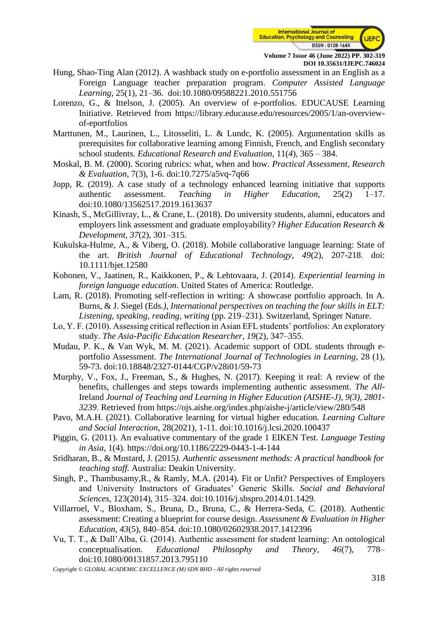

- Hung, Shao-Ting Alan (2012). A washback study on e-portfolio assessment in an English as a Foreign Language teacher preparation program. *Computer Assisted Language Learning*, 25(1), 21–36. [doi:10.1080/09588221.2010.551756](https://doi.org/10.1080/09588221.2010.551756)
- Lorenzo, G., & Ittelson, J. (2005). An overview of e-portfolios. EDUCAUSE Learning Initiative. Retrieved from [https://library.educause.edu/resources/2005/1/an-overview](https://library.educause.edu/resources/2005/1/an-overview-of-eportfolios)[of-eportfolios](https://library.educause.edu/resources/2005/1/an-overview-of-eportfolios)
- Marttunen, M., Laurinen, L., Litosseliti, L. & Lundc, K. (2005). Argumentation skills as prerequisites for collaborative learning among Finnish, French, and English secondary school students. *Educational Research and Evaluation*, 11(*4*), 365 – 384.
- Moskal, B. M. (2000). Scoring rubrics: what, when and how. *Practical Assessment, Research & Evaluation*, 7(3), 1-6. doi:10.7275/a5vq-7q66
- Jopp, R. (2019). A case study of a technology enhanced learning initiative that supports authentic assessment. *Teaching in Higher Education*, 25(2) 1–17. doi:10.1080/13562517.2019.1613637
- Kinash, S., McGillivray, L., & Crane, L. (2018). Do university students, alumni, educators and employers link assessment and graduate employability? *Higher Education Research & Development, 37*(2), 301–315.
- Kukulska-Hulme, A., & Viberg, O. (2018). Mobile collaborative language learning: State of the art. *British Journal of Educational Technology, 49*(2), 207-218. doi: [10.1111/bjet.12580](https://doi.org/10.1111/bjet.12580)
- Kohonen, V., Jaatinen, R., Kaikkonen, P., & Lehtovaara, J. (2014). *Experiential learning in foreign language education*. United States of America: Routledge.
- Lam, R. (2018). Promoting self-reflection in writing: A showcase portfolio approach. In A. Burns, & J. Siegel (Eds*.), International perspectives on teaching the four skills in ELT: Listening, speaking, reading, writing* (pp. 219–231). Switzerland, Springer Nature.
- Lo, Y. F. (2010). Assessing critical reflection in Asian EFL students' portfolios: An exploratory study. *The Asia-Pacific Education Researcher, 19*(2), 347–355.
- Mudau, P. K., & Van Wyk, M. M. (2021). Academic support of ODL students through eportfolio Assessment. *The International Journal of Technologies in Learning*, 28 (1), 59-73. [doi:10.18848/2327-0144/CGP/v28i01/59-73](https://doi.org/10.18848/2327-0144/CGP/v28i01/59-73)
- Murphy, V., Fox, J., Freeman, S., & Hughes, N. (2017). Keeping it real: A review of the benefits, challenges and steps towards implementing authentic assessment. *The All*-Ireland *Journal of Teaching and Learning in Higher Education (AISHE-J), 9(3), 2801- 3239.* Retrieved from https://ojs.aishe.org/index.php/aishe-j/article/view/280/548
- Pavo, M.A.H. (2021). Collaborative learning for virtual higher education*. Learning Culture and Social Interaction,* 28(2021), 1-11*.* [doi:10.1016/j.lcsi.2020.100437](https://doi.org/10.1016/j.lcsi.2020.100437)
- Piggin, G. (2011). An evaluative commentary of the grade 1 EIKEN Test. *Language Testing in Asia*, 1(4). <https://doi.org/10.1186/2229-0443-1-4-144>
- Sridharan, B., & Mustard, J. (2015*). Authentic assessment methods: A practical handbook for teaching staff.* Australia: Deakin University.
- Singh, P., Thambusamy,R., & Ramly, M.A. (2014). Fit or Unfit? Perspectives of Employers and University Instructors of Graduates' Generic Skills. *Social and Behavioral Sciences,* 123(2014), 315–324. doi:10.1016/j.sbspro.2014.01.1429.
- Villarroel, V., Bloxham, S., Bruna, D., Bruna, C., & Herrera-Seda, C. (2018). Authentic assessment: Creating a blueprint for course design. *Assessment & Evaluation in Higher Education, 43*(5), 840–854. doi:10.1080/02602938.2017.1412396
- Vu, T. T., & Dall'Alba, G. (2014). Authentic assessment for student learning: An ontological conceptualisation. *Educational Philosophy and Theory, 46*(7), 778– doi:10.1080/00131857.2013.795110

*Copyright © GLOBAL ACADEMIC EXCELLENCE (M) SDN BHD - All rights reserved*